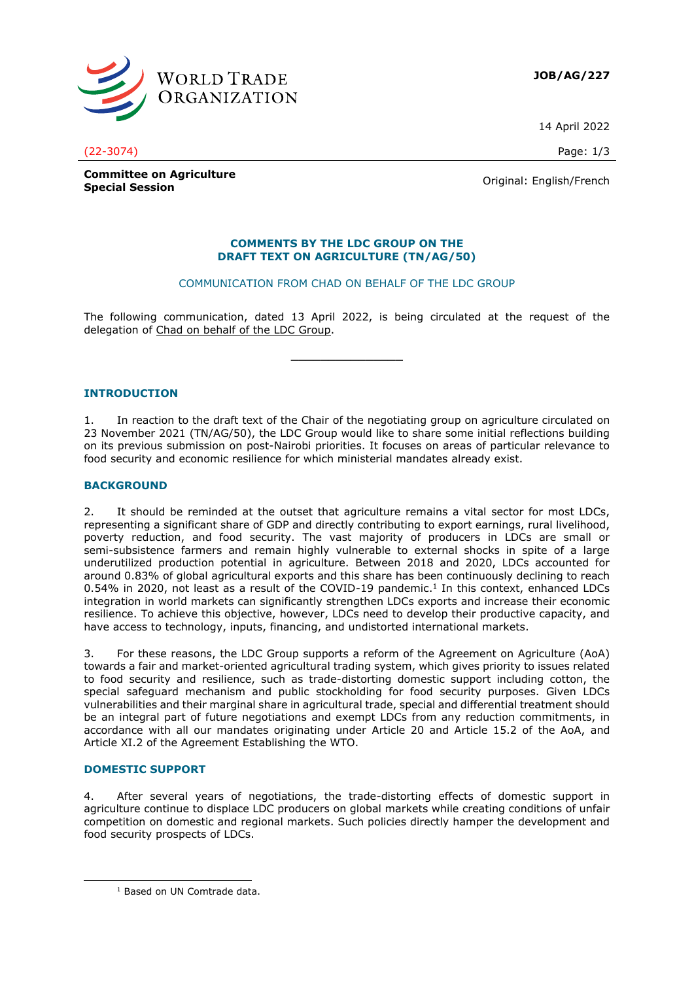

**JOB/AG/227**

14 April 2022

(22-3074) Page: 1/3

**Committee on Agriculture Special Session**<br>
Special Session

#### **COMMENTS BY THE LDC GROUP ON THE DRAFT TEXT ON AGRICULTURE (TN/AG/50)**

# COMMUNICATION FROM CHAD ON BEHALF OF THE LDC GROUP

The following communication, dated 13 April 2022, is being circulated at the request of the delegation of Chad on behalf of the LDC Group.

**\_\_\_\_\_\_\_\_\_\_\_\_\_\_\_**

## **INTRODUCTION**

1. In reaction to the draft text of the Chair of the negotiating group on agriculture circulated on 23 November 2021 (TN/AG/50), the LDC Group would like to share some initial reflections building on its previous submission on post-Nairobi priorities. It focuses on areas of particular relevance to food security and economic resilience for which ministerial mandates already exist.

## **BACKGROUND**

2. It should be reminded at the outset that agriculture remains a vital sector for most LDCs, representing a significant share of GDP and directly contributing to export earnings, rural livelihood, poverty reduction, and food security. The vast majority of producers in LDCs are small or semi-subsistence farmers and remain highly vulnerable to external shocks in spite of a large underutilized production potential in agriculture. Between 2018 and 2020, LDCs accounted for around 0.83% of global agricultural exports and this share has been continuously declining to reach  $0.54\%$  in 2020, not least as a result of the COVID-19 pandemic.<sup>1</sup> In this context, enhanced LDCs integration in world markets can significantly strengthen LDCs exports and increase their economic resilience. To achieve this objective, however, LDCs need to develop their productive capacity, and have access to technology, inputs, financing, and undistorted international markets.

3. For these reasons, the LDC Group supports a reform of the Agreement on Agriculture (AoA) towards a fair and market-oriented agricultural trading system, which gives priority to issues related to food security and resilience, such as trade-distorting domestic support including cotton, the special safeguard mechanism and public stockholding for food security purposes. Given LDCs vulnerabilities and their marginal share in agricultural trade, special and differential treatment should be an integral part of future negotiations and exempt LDCs from any reduction commitments, in accordance with all our mandates originating under Article 20 and Article 15.2 of the AoA, and Article XI.2 of the Agreement Establishing the WTO.

## **DOMESTIC SUPPORT**

4. After several years of negotiations, the trade-distorting effects of domestic support in agriculture continue to displace LDC producers on global markets while creating conditions of unfair competition on domestic and regional markets. Such policies directly hamper the development and food security prospects of LDCs.

<sup>&</sup>lt;sup>1</sup> Based on UN Comtrade data.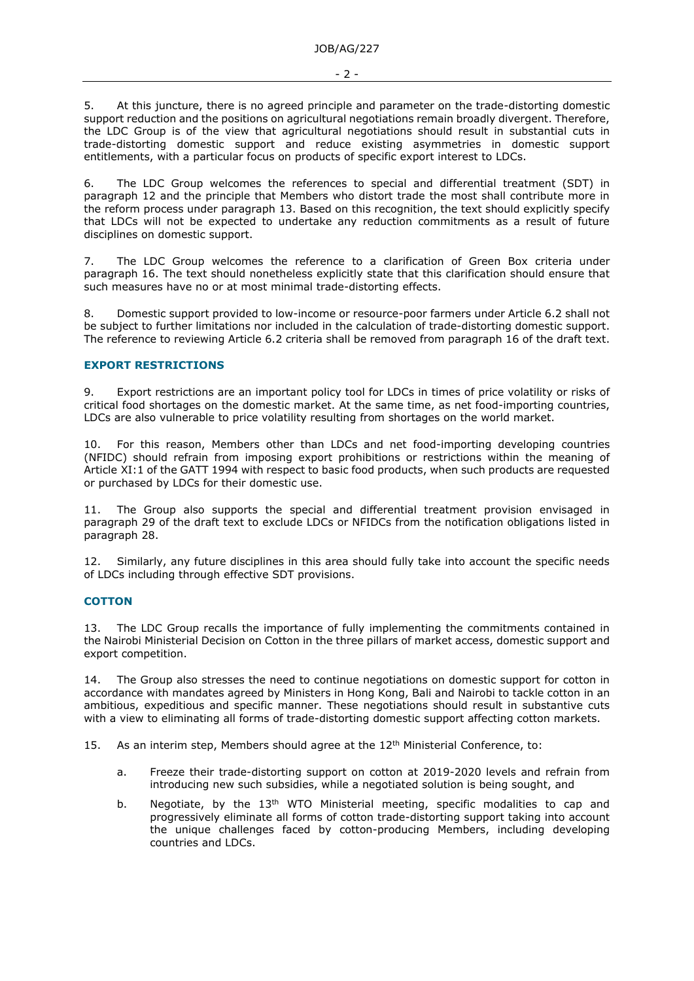5. At this juncture, there is no agreed principle and parameter on the trade-distorting domestic support reduction and the positions on agricultural negotiations remain broadly divergent. Therefore, the LDC Group is of the view that agricultural negotiations should result in substantial cuts in trade-distorting domestic support and reduce existing asymmetries in domestic support entitlements, with a particular focus on products of specific export interest to LDCs.

6. The LDC Group welcomes the references to special and differential treatment (SDT) in paragraph 12 and the principle that Members who distort trade the most shall contribute more in the reform process under paragraph 13. Based on this recognition, the text should explicitly specify that LDCs will not be expected to undertake any reduction commitments as a result of future disciplines on domestic support.

7. The LDC Group welcomes the reference to a clarification of Green Box criteria under paragraph 16. The text should nonetheless explicitly state that this clarification should ensure that such measures have no or at most minimal trade-distorting effects.

8. Domestic support provided to low-income or resource-poor farmers under Article 6.2 shall not be subject to further limitations nor included in the calculation of trade-distorting domestic support. The reference to reviewing Article 6.2 criteria shall be removed from paragraph 16 of the draft text.

# **EXPORT RESTRICTIONS**

9. Export restrictions are an important policy tool for LDCs in times of price volatility or risks of critical food shortages on the domestic market. At the same time, as net food-importing countries, LDCs are also vulnerable to price volatility resulting from shortages on the world market.

10. For this reason, Members other than LDCs and net food-importing developing countries (NFIDC) should refrain from imposing export prohibitions or restrictions within the meaning of Article XI:1 of the GATT 1994 with respect to basic food products, when such products are requested or purchased by LDCs for their domestic use.

The Group also supports the special and differential treatment provision envisaged in paragraph 29 of the draft text to exclude LDCs or NFIDCs from the notification obligations listed in paragraph 28.

Similarly, any future disciplines in this area should fully take into account the specific needs of LDCs including through effective SDT provisions.

## **COTTON**

13. The LDC Group recalls the importance of fully implementing the commitments contained in the Nairobi Ministerial Decision on Cotton in the three pillars of market access, domestic support and export competition.

14. The Group also stresses the need to continue negotiations on domestic support for cotton in accordance with mandates agreed by Ministers in Hong Kong, Bali and Nairobi to tackle cotton in an ambitious, expeditious and specific manner. These negotiations should result in substantive cuts with a view to eliminating all forms of trade-distorting domestic support affecting cotton markets.

15. As an interim step, Members should agree at the  $12<sup>th</sup>$  Ministerial Conference, to:

- a. Freeze their trade-distorting support on cotton at 2019-2020 levels and refrain from introducing new such subsidies, while a negotiated solution is being sought, and
- b. Negotiate, by the 13<sup>th</sup> WTO Ministerial meeting, specific modalities to cap and progressively eliminate all forms of cotton trade-distorting support taking into account the unique challenges faced by cotton-producing Members, including developing countries and LDCs.